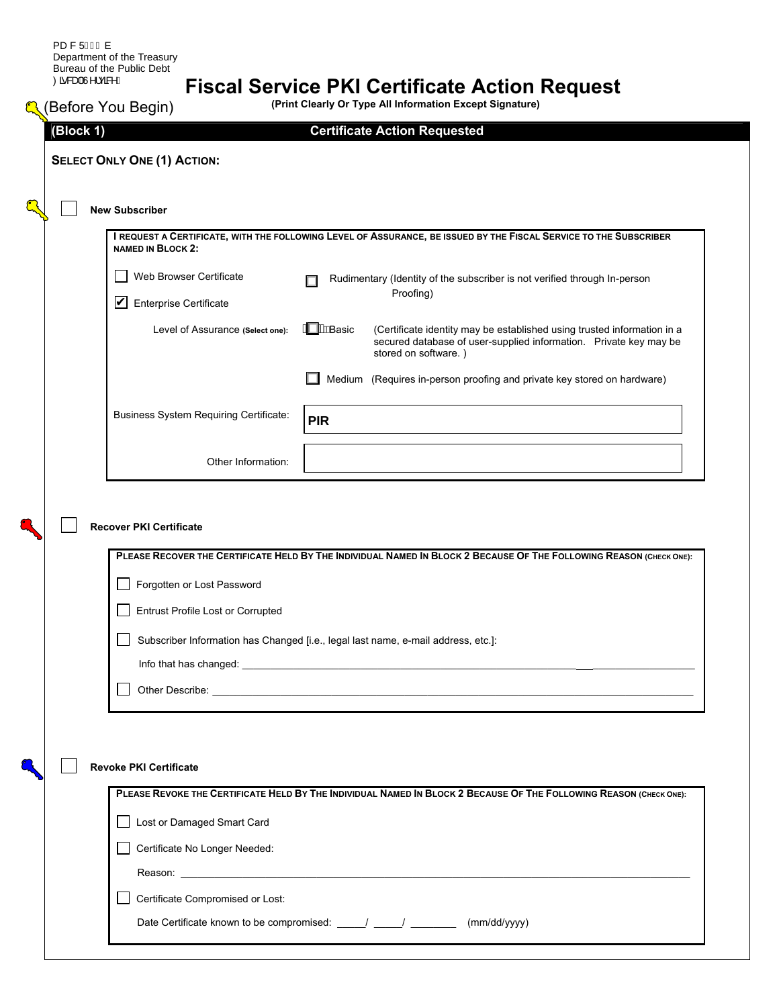## **Fiscal Service PKI Certificate Action Request**

| (Block 1)                                                       | <b>Certificate Action Requested</b>                                                                                                                                                                      |
|-----------------------------------------------------------------|----------------------------------------------------------------------------------------------------------------------------------------------------------------------------------------------------------|
| <b>SELECT ONLY ONE (1) ACTION:</b>                              |                                                                                                                                                                                                          |
|                                                                 |                                                                                                                                                                                                          |
| <b>New Subscriber</b>                                           |                                                                                                                                                                                                          |
| <b>NAMED IN BLOCK 2:</b>                                        | I REQUEST A CERTIFICATE, WITH THE FOLLOWING LEVEL OF ASSURANCE, BE ISSUED BY THE FISCAL SERVICE TO THE SUBSCRIBER                                                                                        |
| Web Browser Certificate                                         | Rudimentary (Identity of the subscriber is not verified through In-person                                                                                                                                |
| $\overline{\mathbf{V}}$<br><b>Enterprise Certificate</b>        | Proofing)                                                                                                                                                                                                |
| Level of Assurance (Select one):                                | <b>A Wie</b> asic<br>(Certificate identity may be established using trusted information in a<br>secured database of user-supplied information. Private key may be<br>stored on software.)                |
|                                                                 | Medium (Requires in-person proofing and private key stored on hardware)                                                                                                                                  |
| <b>Business System Requiring Certificate:</b>                   | <b>PIR</b>                                                                                                                                                                                               |
| Other Information:                                              |                                                                                                                                                                                                          |
|                                                                 |                                                                                                                                                                                                          |
|                                                                 |                                                                                                                                                                                                          |
| Forgotten or Lost Password<br>Entrust Profile Lost or Corrupted |                                                                                                                                                                                                          |
|                                                                 | PLEASE RECOVER THE CERTIFICATE HELD BY THE INDIVIDUAL NAMED IN BLOCK 2 BECAUSE OF THE FOLLOWING REASON (CHECK ONE):<br>Subscriber Information has Changed [i.e., legal last name, e-mail address, etc.]: |
|                                                                 |                                                                                                                                                                                                          |